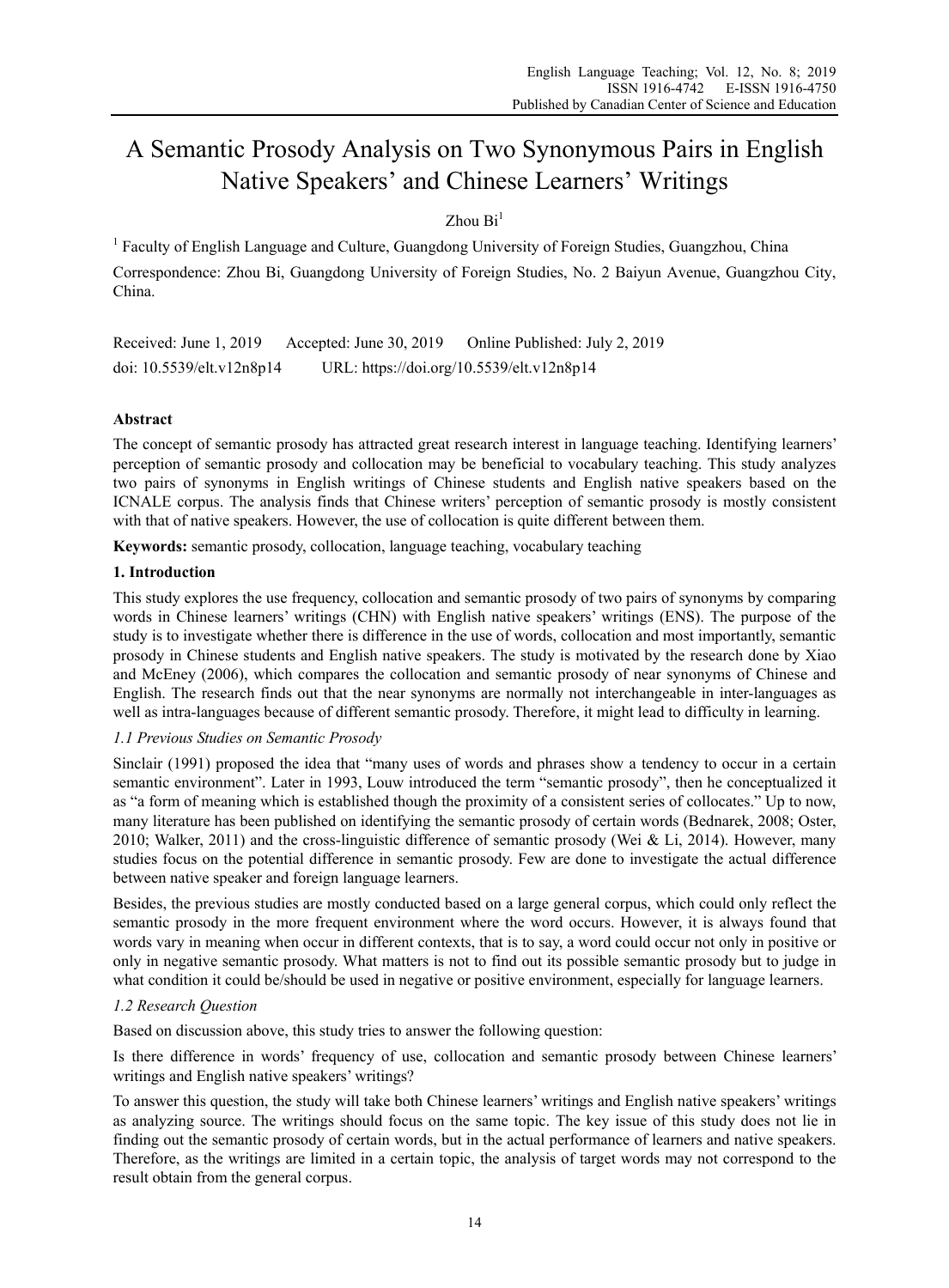# A Semantic Prosody Analysis on Two Synonymous Pairs in English Native Speakers' and Chinese Learners' Writings

# $Z$ hou  $Bi<sup>1</sup>$

<sup>1</sup> Faculty of English Language and Culture, Guangdong University of Foreign Studies, Guangzhou, China Correspondence: Zhou Bi, Guangdong University of Foreign Studies, No. 2 Baiyun Avenue, Guangzhou City, China.

Received: June 1, 2019 Accepted: June 30, 2019 Online Published: July 2, 2019 doi: 10.5539/elt.v12n8p14 URL: https://doi.org/10.5539/elt.v12n8p14

# **Abstract**

The concept of semantic prosody has attracted great research interest in language teaching. Identifying learners' perception of semantic prosody and collocation may be beneficial to vocabulary teaching. This study analyzes two pairs of synonyms in English writings of Chinese students and English native speakers based on the ICNALE corpus. The analysis finds that Chinese writers' perception of semantic prosody is mostly consistent with that of native speakers. However, the use of collocation is quite different between them.

**Keywords:** semantic prosody, collocation, language teaching, vocabulary teaching

# **1. Introduction**

This study explores the use frequency, collocation and semantic prosody of two pairs of synonyms by comparing words in Chinese learners' writings (CHN) with English native speakers' writings (ENS). The purpose of the study is to investigate whether there is difference in the use of words, collocation and most importantly, semantic prosody in Chinese students and English native speakers. The study is motivated by the research done by Xiao and McEney (2006), which compares the collocation and semantic prosody of near synonyms of Chinese and English. The research finds out that the near synonyms are normally not interchangeable in inter-languages as well as intra-languages because of different semantic prosody. Therefore, it might lead to difficulty in learning.

## *1.1 Previous Studies on Semantic Prosody*

Sinclair (1991) proposed the idea that "many uses of words and phrases show a tendency to occur in a certain semantic environment". Later in 1993, Louw introduced the term "semantic prosody", then he conceptualized it as "a form of meaning which is established though the proximity of a consistent series of collocates." Up to now, many literature has been published on identifying the semantic prosody of certain words (Bednarek, 2008; Oster, 2010; Walker, 2011) and the cross-linguistic difference of semantic prosody (Wei & Li, 2014). However, many studies focus on the potential difference in semantic prosody. Few are done to investigate the actual difference between native speaker and foreign language learners.

Besides, the previous studies are mostly conducted based on a large general corpus, which could only reflect the semantic prosody in the more frequent environment where the word occurs. However, it is always found that words vary in meaning when occur in different contexts, that is to say, a word could occur not only in positive or only in negative semantic prosody. What matters is not to find out its possible semantic prosody but to judge in what condition it could be/should be used in negative or positive environment, especially for language learners.

# *1.2 Research Question*

Based on discussion above, this study tries to answer the following question:

Is there difference in words' frequency of use, collocation and semantic prosody between Chinese learners' writings and English native speakers' writings?

To answer this question, the study will take both Chinese learners' writings and English native speakers' writings as analyzing source. The writings should focus on the same topic. The key issue of this study does not lie in finding out the semantic prosody of certain words, but in the actual performance of learners and native speakers. Therefore, as the writings are limited in a certain topic, the analysis of target words may not correspond to the result obtain from the general corpus.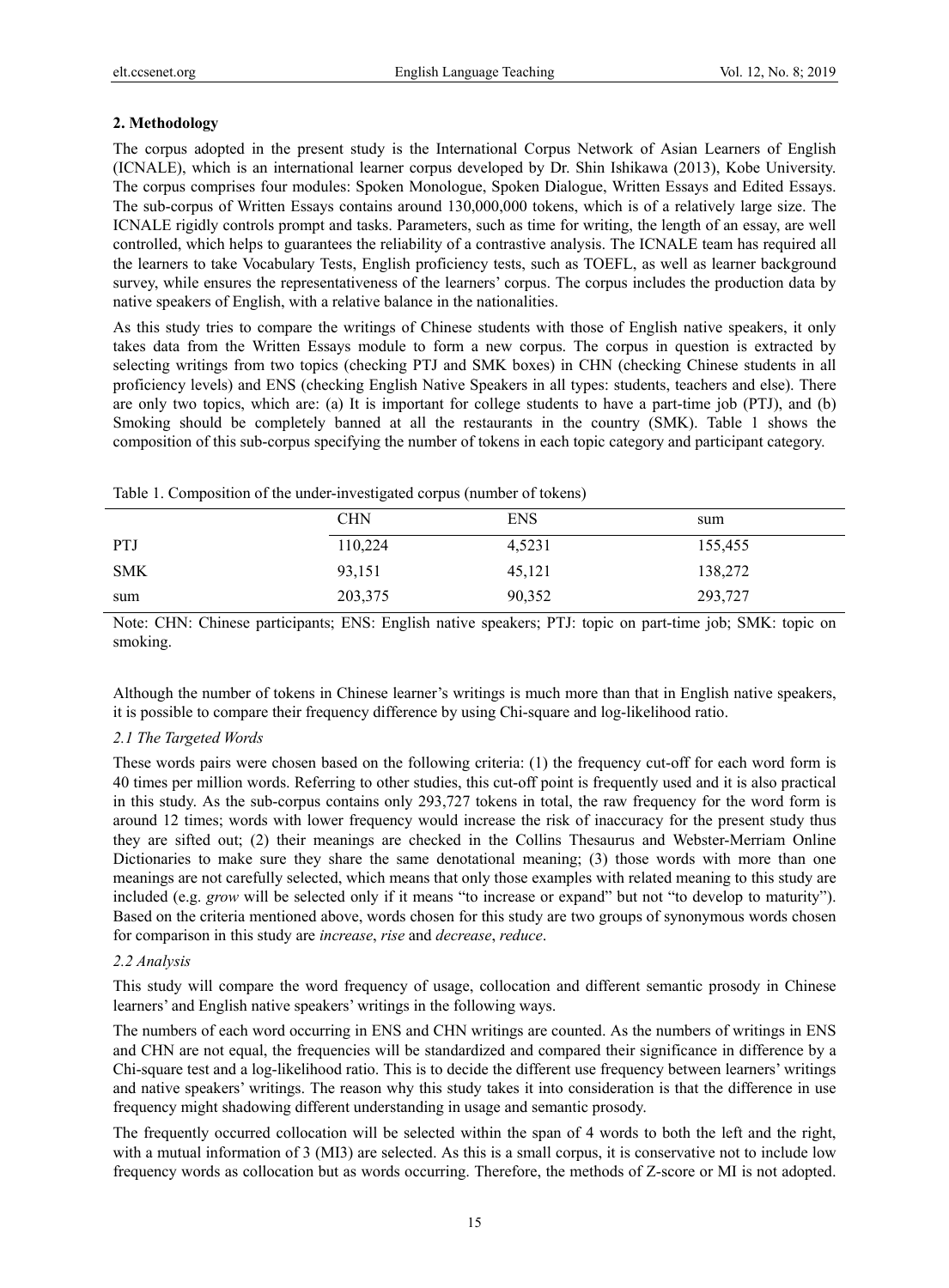# **2. Methodology**

The corpus adopted in the present study is the International Corpus Network of Asian Learners of English (ICNALE), which is an international learner corpus developed by Dr. Shin Ishikawa (2013), Kobe University. The corpus comprises four modules: Spoken Monologue, Spoken Dialogue, Written Essays and Edited Essays. The sub-corpus of Written Essays contains around 130,000,000 tokens, which is of a relatively large size. The ICNALE rigidly controls prompt and tasks. Parameters, such as time for writing, the length of an essay, are well controlled, which helps to guarantees the reliability of a contrastive analysis. The ICNALE team has required all the learners to take Vocabulary Tests, English proficiency tests, such as TOEFL, as well as learner background survey, while ensures the representativeness of the learners' corpus. The corpus includes the production data by native speakers of English, with a relative balance in the nationalities.

As this study tries to compare the writings of Chinese students with those of English native speakers, it only takes data from the Written Essays module to form a new corpus. The corpus in question is extracted by selecting writings from two topics (checking PTJ and SMK boxes) in CHN (checking Chinese students in all proficiency levels) and ENS (checking English Native Speakers in all types: students, teachers and else). There are only two topics, which are: (a) It is important for college students to have a part-time job (PTJ), and (b) Smoking should be completely banned at all the restaurants in the country (SMK). Table 1 shows the composition of this sub-corpus specifying the number of tokens in each topic category and participant category.

|            | <b>CHN</b> | <b>ENS</b> | sum     |
|------------|------------|------------|---------|
| <b>PTJ</b> | 110,224    | 4,5231     | 155,455 |
| <b>SMK</b> | 93,151     | 45,121     | 138,272 |
| sum        | 203,375    | 90,352     | 293,727 |

Table 1. Composition of the under-investigated corpus (number of tokens)

Note: CHN: Chinese participants; ENS: English native speakers; PTJ: topic on part-time job; SMK: topic on smoking.

Although the number of tokens in Chinese learner's writings is much more than that in English native speakers, it is possible to compare their frequency difference by using Chi-square and log-likelihood ratio.

## *2.1 The Targeted Words*

These words pairs were chosen based on the following criteria: (1) the frequency cut-off for each word form is 40 times per million words. Referring to other studies, this cut-off point is frequently used and it is also practical in this study. As the sub-corpus contains only 293,727 tokens in total, the raw frequency for the word form is around 12 times; words with lower frequency would increase the risk of inaccuracy for the present study thus they are sifted out; (2) their meanings are checked in the Collins Thesaurus and Webster-Merriam Online Dictionaries to make sure they share the same denotational meaning; (3) those words with more than one meanings are not carefully selected, which means that only those examples with related meaning to this study are included (e.g. *grow* will be selected only if it means "to increase or expand" but not "to develop to maturity"). Based on the criteria mentioned above, words chosen for this study are two groups of synonymous words chosen for comparison in this study are *increase*, *rise* and *decrease*, *reduce*.

## *2.2 Analysis*

This study will compare the word frequency of usage, collocation and different semantic prosody in Chinese learners' and English native speakers' writings in the following ways.

The numbers of each word occurring in ENS and CHN writings are counted. As the numbers of writings in ENS and CHN are not equal, the frequencies will be standardized and compared their significance in difference by a Chi-square test and a log-likelihood ratio. This is to decide the different use frequency between learners' writings and native speakers' writings. The reason why this study takes it into consideration is that the difference in use frequency might shadowing different understanding in usage and semantic prosody.

The frequently occurred collocation will be selected within the span of 4 words to both the left and the right, with a mutual information of 3 (MI3) are selected. As this is a small corpus, it is conservative not to include low frequency words as collocation but as words occurring. Therefore, the methods of Z-score or MI is not adopted.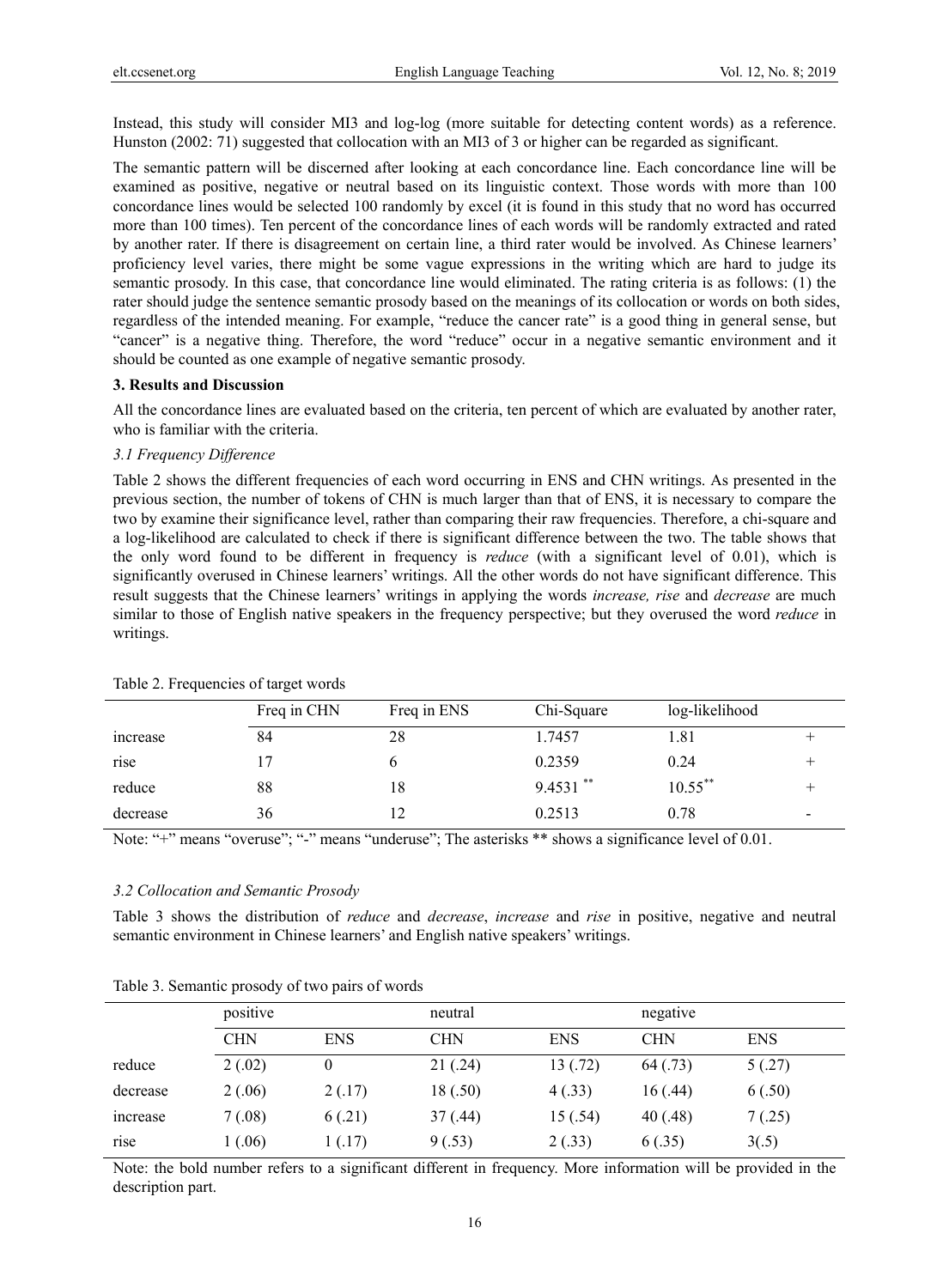Instead, this study will consider MI3 and log-log (more suitable for detecting content words) as a reference. Hunston (2002: 71) suggested that collocation with an MI3 of 3 or higher can be regarded as significant.

The semantic pattern will be discerned after looking at each concordance line. Each concordance line will be examined as positive, negative or neutral based on its linguistic context. Those words with more than 100 concordance lines would be selected 100 randomly by excel (it is found in this study that no word has occurred more than 100 times). Ten percent of the concordance lines of each words will be randomly extracted and rated by another rater. If there is disagreement on certain line, a third rater would be involved. As Chinese learners' proficiency level varies, there might be some vague expressions in the writing which are hard to judge its semantic prosody. In this case, that concordance line would eliminated. The rating criteria is as follows: (1) the rater should judge the sentence semantic prosody based on the meanings of its collocation or words on both sides, regardless of the intended meaning. For example, "reduce the cancer rate" is a good thing in general sense, but "cancer" is a negative thing. Therefore, the word "reduce" occur in a negative semantic environment and it should be counted as one example of negative semantic prosody.

#### **3. Results and Discussion**

All the concordance lines are evaluated based on the criteria, ten percent of which are evaluated by another rater, who is familiar with the criteria.

#### *3.1 Frequency Difference*

Table 2 shows the different frequencies of each word occurring in ENS and CHN writings. As presented in the previous section, the number of tokens of CHN is much larger than that of ENS, it is necessary to compare the two by examine their significance level, rather than comparing their raw frequencies. Therefore, a chi-square and a log-likelihood are calculated to check if there is significant difference between the two. The table shows that the only word found to be different in frequency is *reduce* (with a significant level of 0.01), which is significantly overused in Chinese learners' writings. All the other words do not have significant difference. This result suggests that the Chinese learners' writings in applying the words *increase, rise* and *decrease* are much similar to those of English native speakers in the frequency perspective; but they overused the word *reduce* in writings.

|          | Freq in CHN | Freq in ENS | Chi-Square  | log-likelihood |  |
|----------|-------------|-------------|-------------|----------------|--|
| increase | 84          | 28          | 1.7457      | 1.81           |  |
| rise     |             |             | 0.2359      | 0.24           |  |
| reduce   | 88          | 18          | $9.4531$ ** | $10.55***$     |  |
| decrease | 36          |             | 0.2513      | 0.78           |  |

#### Table 2. Frequencies of target words

Note: "+" means "overuse"; "-" means "underuse"; The asterisks \*\* shows a significance level of 0.01.

#### *3.2 Collocation and Semantic Prosody*

Table 3 shows the distribution of *reduce* and *decrease*, *increase* and *rise* in positive, negative and neutral semantic environment in Chinese learners' and English native speakers' writings.

|          | positive   |            | neutral    |            | negative   |            |  |  |
|----------|------------|------------|------------|------------|------------|------------|--|--|
|          | <b>CHN</b> | <b>ENS</b> | <b>CHN</b> | <b>ENS</b> | <b>CHN</b> | <b>ENS</b> |  |  |
| reduce   | 2(.02)     | 0          | 21(.24)    | 13(.72)    | 64(.73)    | 5(.27)     |  |  |
| decrease | 2(.06)     | 2(.17)     | 18(.50)    | 4(.33)     | 16(.44)    | 6(.50)     |  |  |
| increase | 7(.08)     | 6(.21)     | 37(0.44)   | 15(.54)    | 40(.48)    | 7(.25)     |  |  |
| rise     | 1(.06)     | 1(.17)     | 9(.53)     | 2(.33)     | 6(.35)     | 3(.5)      |  |  |

Table 3. Semantic prosody of two pairs of words

Note: the bold number refers to a significant different in frequency. More information will be provided in the description part.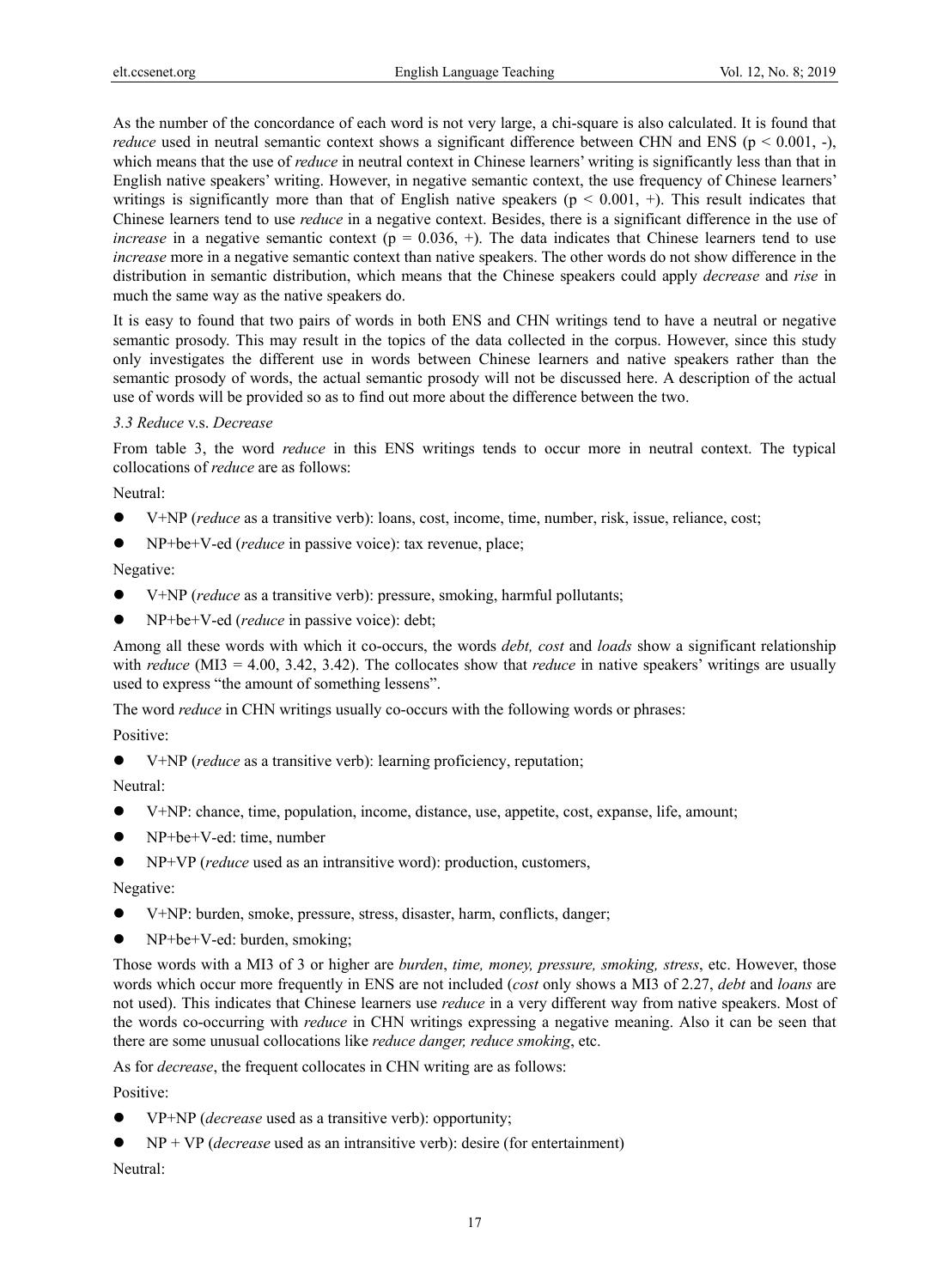As the number of the concordance of each word is not very large, a chi-square is also calculated. It is found that *reduce* used in neutral semantic context shows a significant difference between CHN and ENS ( $p < 0.001$ ,  $-$ ), which means that the use of *reduce* in neutral context in Chinese learners' writing is significantly less than that in English native speakers' writing. However, in negative semantic context, the use frequency of Chinese learners' writings is significantly more than that of English native speakers ( $p < 0.001$ , +). This result indicates that Chinese learners tend to use *reduce* in a negative context. Besides, there is a significant difference in the use of *increase* in a negative semantic context ( $p = 0.036$ , +). The data indicates that Chinese learners tend to use *increase* more in a negative semantic context than native speakers. The other words do not show difference in the distribution in semantic distribution, which means that the Chinese speakers could apply *decrease* and *rise* in much the same way as the native speakers do.

It is easy to found that two pairs of words in both ENS and CHN writings tend to have a neutral or negative semantic prosody. This may result in the topics of the data collected in the corpus. However, since this study only investigates the different use in words between Chinese learners and native speakers rather than the semantic prosody of words, the actual semantic prosody will not be discussed here. A description of the actual use of words will be provided so as to find out more about the difference between the two.

# *3.3 Reduce* v.s. *Decrease*

From table 3, the word *reduce* in this ENS writings tends to occur more in neutral context. The typical collocations of *reduce* are as follows:

Neutral:

- V+NP (*reduce* as a transitive verb): loans, cost, income, time, number, risk, issue, reliance, cost;
- NP+be+V-ed (*reduce* in passive voice): tax revenue, place;

Negative:

- V+NP (*reduce* as a transitive verb): pressure, smoking, harmful pollutants;
- NP+be+V-ed (*reduce* in passive voice): debt;

Among all these words with which it co-occurs, the words *debt, cost* and *loads* show a significant relationship with *reduce* (MI3 = 4.00, 3.42, 3.42). The collocates show that *reduce* in native speakers' writings are usually used to express "the amount of something lessens".

The word *reduce* in CHN writings usually co-occurs with the following words or phrases:

Positive:

V+NP (*reduce* as a transitive verb): learning proficiency, reputation;

Neutral:

- V+NP: chance, time, population, income, distance, use, appetite, cost, expanse, life, amount;
- NP+be+V-ed: time, number
- NP+VP (*reduce* used as an intransitive word): production, customers,

Negative:

- V+NP: burden, smoke, pressure, stress, disaster, harm, conflicts, danger;
- NP+be+V-ed: burden, smoking;

Those words with a MI3 of 3 or higher are *burden*, *time, money, pressure, smoking, stress*, etc. However, those words which occur more frequently in ENS are not included (*cost* only shows a MI3 of 2.27, *debt* and *loans* are not used). This indicates that Chinese learners use *reduce* in a very different way from native speakers. Most of the words co-occurring with *reduce* in CHN writings expressing a negative meaning. Also it can be seen that there are some unusual collocations like *reduce danger, reduce smoking*, etc.

As for *decrease*, the frequent collocates in CHN writing are as follows:

Positive:

- VP+NP (*decrease* used as a transitive verb): opportunity;
- NP + VP (*decrease* used as an intransitive verb): desire (for entertainment)

Neutral: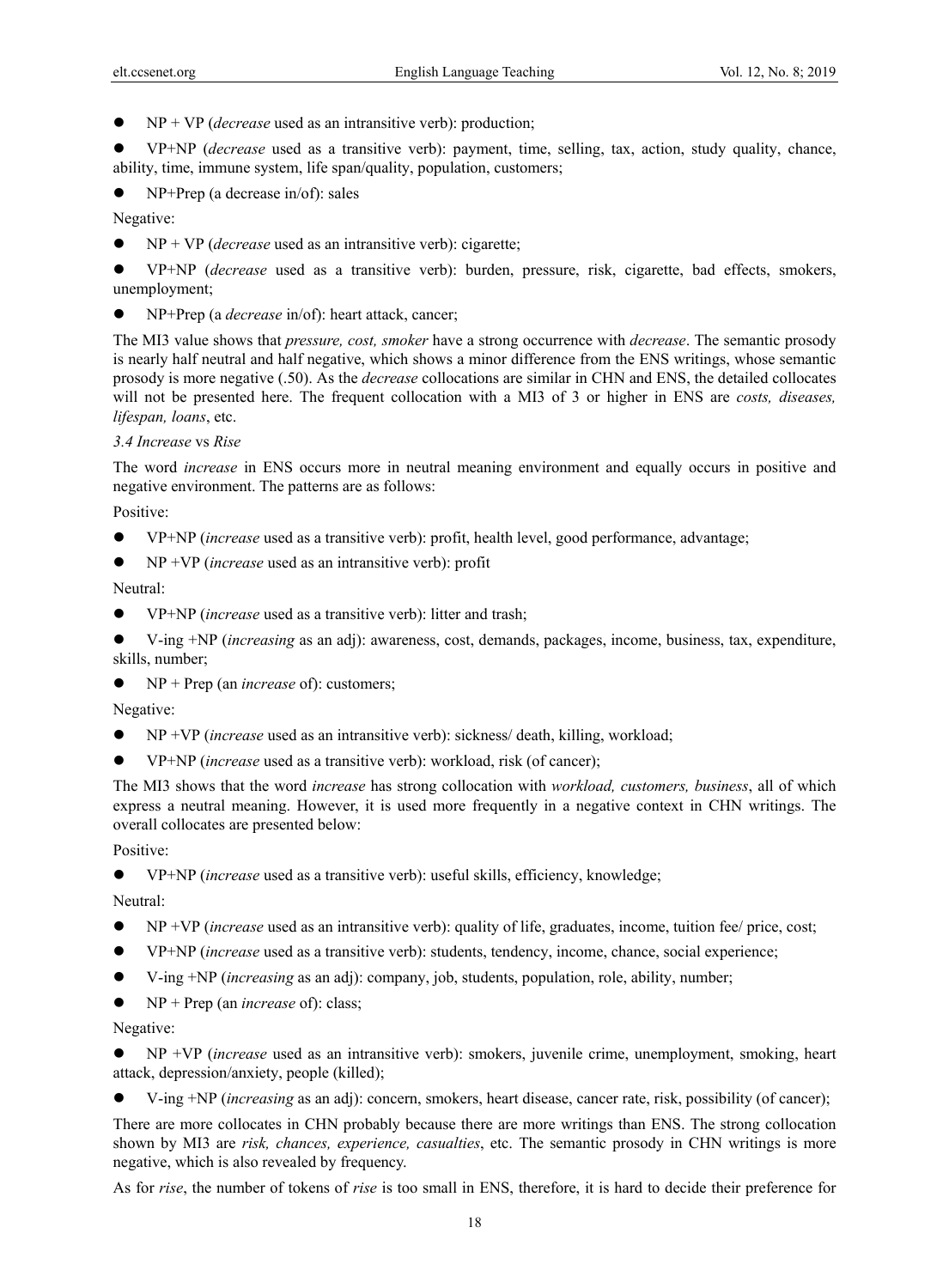NP + VP (*decrease* used as an intransitive verb): production;

 VP+NP (*decrease* used as a transitive verb): payment, time, selling, tax, action, study quality, chance, ability, time, immune system, life span/quality, population, customers;

NP+Prep (a decrease in/of): sales

Negative:

NP + VP (*decrease* used as an intransitive verb): cigarette;

 VP+NP (*decrease* used as a transitive verb): burden, pressure, risk, cigarette, bad effects, smokers, unemployment;

NP+Prep (a *decrease* in/of): heart attack, cancer;

The MI3 value shows that *pressure, cost, smoker* have a strong occurrence with *decrease*. The semantic prosody is nearly half neutral and half negative, which shows a minor difference from the ENS writings, whose semantic prosody is more negative (.50). As the *decrease* collocations are similar in CHN and ENS, the detailed collocates will not be presented here. The frequent collocation with a MI3 of 3 or higher in ENS are *costs, diseases, lifespan, loans*, etc.

# *3.4 Increase* vs *Rise*

The word *increase* in ENS occurs more in neutral meaning environment and equally occurs in positive and negative environment. The patterns are as follows:

Positive:

- VP+NP (*increase* used as a transitive verb): profit, health level, good performance, advantage;
- NP +VP (*increase* used as an intransitive verb): profit

Neutral:

VP+NP (*increase* used as a transitive verb): litter and trash;

 V-ing +NP (*increasing* as an adj): awareness, cost, demands, packages, income, business, tax, expenditure, skills, number;

NP + Prep (an *increase* of): customers;

Negative:

- NP +VP (*increase* used as an intransitive verb): sickness/ death, killing, workload;
- VP+NP (*increase* used as a transitive verb): workload, risk (of cancer);

The MI3 shows that the word *increase* has strong collocation with *workload, customers, business*, all of which express a neutral meaning. However, it is used more frequently in a negative context in CHN writings. The overall collocates are presented below:

Positive:

VP+NP (*increase* used as a transitive verb): useful skills, efficiency, knowledge;

Neutral:

- NP +VP (*increase* used as an intransitive verb): quality of life, graduates, income, tuition fee/ price, cost;
- VP+NP (*increase* used as a transitive verb): students, tendency, income, chance, social experience;
- V-ing +NP (*increasing* as an adj): company, job, students, population, role, ability, number;
- NP + Prep (an *increase* of): class;

Negative:

 NP +VP (*increase* used as an intransitive verb): smokers, juvenile crime, unemployment, smoking, heart attack, depression/anxiety, people (killed);

V-ing +NP (*increasing* as an adj): concern, smokers, heart disease, cancer rate, risk, possibility (of cancer);

There are more collocates in CHN probably because there are more writings than ENS. The strong collocation shown by MI3 are *risk, chances, experience, casualties*, etc. The semantic prosody in CHN writings is more negative, which is also revealed by frequency.

As for *rise*, the number of tokens of *rise* is too small in ENS, therefore, it is hard to decide their preference for